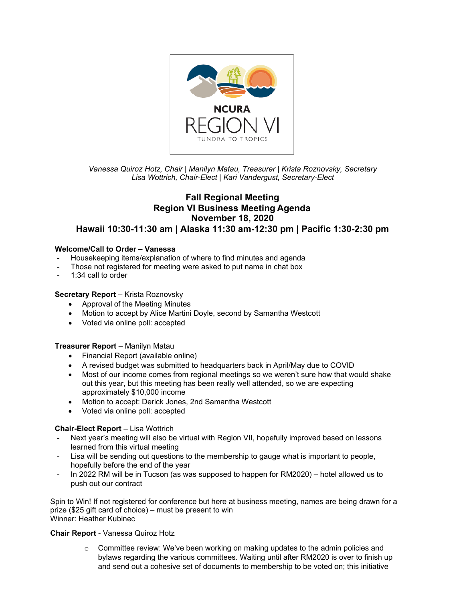

## *Vanessa Quiroz Hotz, Chair | Manilyn Matau, Treasurer | Krista Roznovsky, Secretary Lisa Wottrich, Chair-Elect | Kari Vandergust, Secretary-Elect*

# **Fall Regional Meeting Region VI Business Meeting Agenda November 18, 2020 Hawaii 10:30-11:30 am | Alaska 11:30 am-12:30 pm | Pacific 1:30-2:30 pm**

### **Welcome/Call to Order – Vanessa**

- Housekeeping items/explanation of where to find minutes and agenda
- Those not registered for meeting were asked to put name in chat box
- 1:34 call to order

#### **Secretary Report** – Krista Roznovsky

- Approval of the Meeting Minutes
- Motion to accept by Alice Martini Doyle, second by Samantha Westcott
- Voted via online poll: accepted

### **Treasurer Report** – Manilyn Matau

- Financial Report (available online)
- A revised budget was submitted to headquarters back in April/May due to COVID
- Most of our income comes from regional meetings so we weren't sure how that would shake out this year, but this meeting has been really well attended, so we are expecting approximately \$10,000 income
- Motion to accept: Derick Jones, 2nd Samantha Westcott
- Voted via online poll: accepted

### **Chair-Elect Report** – Lisa Wottrich

- Next year's meeting will also be virtual with Region VII, hopefully improved based on lessons learned from this virtual meeting
- Lisa will be sending out questions to the membership to gauge what is important to people, hopefully before the end of the year
- In 2022 RM will be in Tucson (as was supposed to happen for RM2020) hotel allowed us to push out our contract

Spin to Win! If not registered for conference but here at business meeting, names are being drawn for a prize (\$25 gift card of choice) – must be present to win Winner: Heather Kubinec

#### **Chair Report** - Vanessa Quiroz Hotz

 $\circ$  Committee review: We've been working on making updates to the admin policies and bylaws regarding the various committees. Waiting until after RM2020 is over to finish up and send out a cohesive set of documents to membership to be voted on; this initiative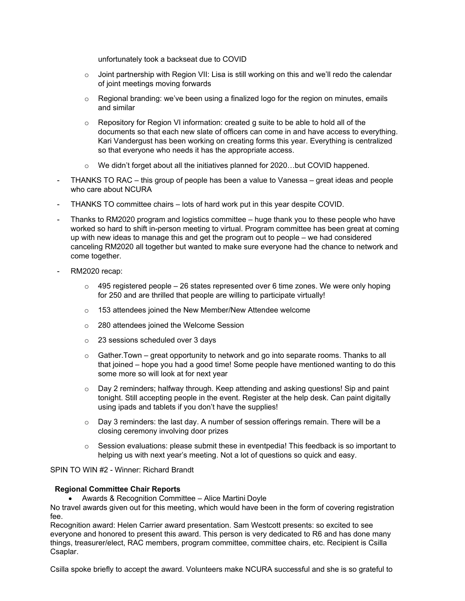unfortunately took a backseat due to COVID

- $\circ$  Joint partnership with Region VII: Lisa is still working on this and we'll redo the calendar of joint meetings moving forwards
- o Regional branding: we've been using a finalized logo for the region on minutes, emails and similar
- $\circ$  Repository for Region VI information: created g suite to be able to hold all of the documents so that each new slate of officers can come in and have access to everything. Kari Vandergust has been working on creating forms this year. Everything is centralized so that everyone who needs it has the appropriate access.
- $\circ$  We didn't forget about all the initiatives planned for 2020...but COVID happened.
- THANKS TO RAC this group of people has been a value to Vanessa great ideas and people who care about NCURA
- THANKS TO committee chairs lots of hard work put in this year despite COVID.
- Thanks to RM2020 program and logistics committee huge thank you to these people who have worked so hard to shift in-person meeting to virtual. Program committee has been great at coming up with new ideas to manage this and get the program out to people – we had considered canceling RM2020 all together but wanted to make sure everyone had the chance to network and come together.
- RM2020 recap:
	- $\circ$  495 registered people 26 states represented over 6 time zones. We were only hoping for 250 and are thrilled that people are willing to participate virtually!
	- o 153 attendees joined the New Member/New Attendee welcome
	- o 280 attendees joined the Welcome Session
	- o 23 sessions scheduled over 3 days
	- $\circ$  Gather. Town great opportunity to network and go into separate rooms. Thanks to all that joined – hope you had a good time! Some people have mentioned wanting to do this some more so will look at for next year
	- $\circ$  Day 2 reminders; halfway through. Keep attending and asking questions! Sip and paint tonight. Still accepting people in the event. Register at the help desk. Can paint digitally using ipads and tablets if you don't have the supplies!
	- $\circ$  Day 3 reminders: the last day. A number of session offerings remain. There will be a closing ceremony involving door prizes
	- $\circ$  Session evaluations: please submit these in eventpedia! This feedback is so important to helping us with next year's meeting. Not a lot of questions so quick and easy.

#### SPIN TO WIN #2 - Winner: Richard Brandt

#### **Regional Committee Chair Reports**

• Awards & Recognition Committee – Alice Martini Doyle

No travel awards given out for this meeting, which would have been in the form of covering registration fee.

Recognition award: Helen Carrier award presentation. Sam Westcott presents: so excited to see everyone and honored to present this award. This person is very dedicated to R6 and has done many things, treasurer/elect, RAC members, program committee, committee chairs, etc. Recipient is Csilla Csaplar.

Csilla spoke briefly to accept the award. Volunteers make NCURA successful and she is so grateful to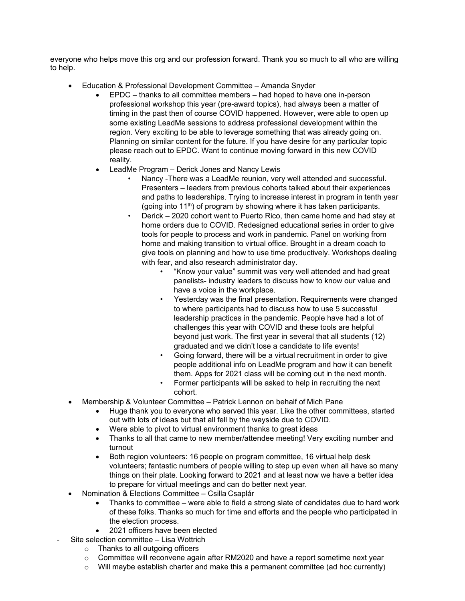everyone who helps move this org and our profession forward. Thank you so much to all who are willing to help.

- Education & Professional Development Committee Amanda Snyder
	- EPDC thanks to all committee members had hoped to have one in-person professional workshop this year (pre-award topics), had always been a matter of timing in the past then of course COVID happened. However, were able to open up some existing LeadMe sessions to address professional development within the region. Very exciting to be able to leverage something that was already going on. Planning on similar content for the future. If you have desire for any particular topic please reach out to EPDC. Want to continue moving forward in this new COVID reality.
	- LeadMe Program Derick Jones and Nancy Lewis
		- Nancy -There was a LeadMe reunion, very well attended and successful. Presenters – leaders from previous cohorts talked about their experiences and paths to leaderships. Trying to increase interest in program in tenth year (going into  $11<sup>th</sup>$ ) of program by showing where it has taken participants.
		- Derick 2020 cohort went to Puerto Rico, then came home and had stay at home orders due to COVID. Redesigned educational series in order to give tools for people to process and work in pandemic. Panel on working from home and making transition to virtual office. Brought in a dream coach to give tools on planning and how to use time productively. Workshops dealing with fear, and also research administrator day.
			- "Know your value" summit was very well attended and had great panelists- industry leaders to discuss how to know our value and have a voice in the workplace.
			- Yesterday was the final presentation. Requirements were changed to where participants had to discuss how to use 5 successful leadership practices in the pandemic. People have had a lot of challenges this year with COVID and these tools are helpful beyond just work. The first year in several that all students (12) graduated and we didn't lose a candidate to life events!
			- Going forward, there will be a virtual recruitment in order to give people additional info on LeadMe program and how it can benefit them. Apps for 2021 class will be coming out in the next month.
			- Former participants will be asked to help in recruiting the next cohort.
- Membership & Volunteer Committee Patrick Lennon on behalf of Mich Pane
	- Huge thank you to everyone who served this year. Like the other committees, started out with lots of ideas but that all fell by the wayside due to COVID.
	- Were able to pivot to virtual environment thanks to great ideas
	- Thanks to all that came to new member/attendee meeting! Very exciting number and turnout
	- Both region volunteers: 16 people on program committee, 16 virtual help desk volunteers; fantastic numbers of people willing to step up even when all have so many things on their plate. Looking forward to 2021 and at least now we have a better idea to prepare for virtual meetings and can do better next year.
- Nomination & Elections Committee Csilla Csaplár
	- Thanks to committee were able to field a strong slate of candidates due to hard work of these folks. Thanks so much for time and efforts and the people who participated in the election process.
	- 2021 officers have been elected
- Site selection committee Lisa Wottrich
	- o Thanks to all outgoing officers
	- $\circ$  Committee will reconvene again after RM2020 and have a report sometime next year
	- $\circ$  Will maybe establish charter and make this a permanent committee (ad hoc currently)